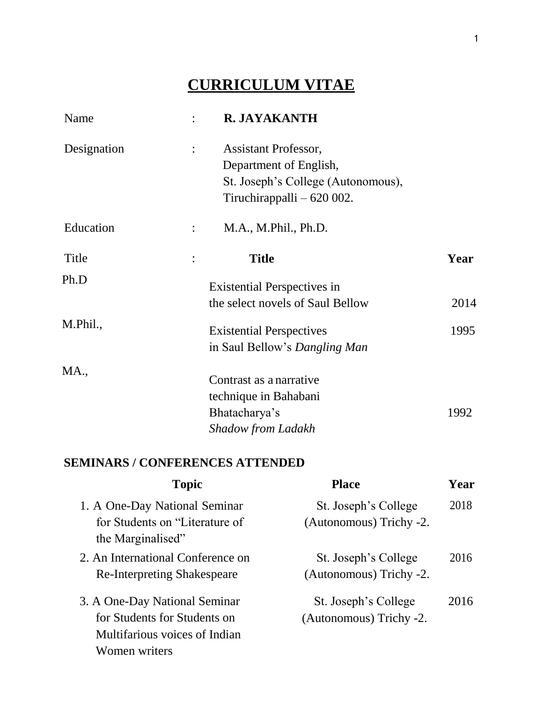# **CURRICULUM VITAE**

| Name        |                | R. JAYAKANTH                       |      |
|-------------|----------------|------------------------------------|------|
| Designation | $\ddot{\cdot}$ | <b>Assistant Professor,</b>        |      |
|             |                | Department of English,             |      |
|             |                | St. Joseph's College (Autonomous), |      |
|             |                | Tiruchirappalli - 620 002.         |      |
| Education   |                | M.A., M.Phil., Ph.D.               |      |
| Title       |                | <b>Title</b>                       | Year |
| Ph.D        |                | <b>Existential Perspectives in</b> |      |
|             |                | the select novels of Saul Bellow   | 2014 |
| M.Phil.,    |                | <b>Existential Perspectives</b>    | 1995 |
|             |                | in Saul Bellow's Dangling Man      |      |
| MA.,        |                | Contrast as a narrative            |      |
|             |                |                                    |      |
|             |                | technique in Bahabani              |      |
|             |                | Bhatacharya's                      | 1992 |
|             |                | <b>Shadow from Ladakh</b>          |      |

# **SEMINARS / CONFERENCES ATTENDED**

| <b>Topic</b>                       | <b>Place</b>            | Year |
|------------------------------------|-------------------------|------|
| 1. A One-Day National Seminar      | St. Joseph's College    | 2018 |
| for Students on "Literature of     | (Autonomous) Trichy -2. |      |
| the Marginalised"                  |                         |      |
| 2. An International Conference on  | St. Joseph's College    | 2016 |
| <b>Re-Interpreting Shakespeare</b> | (Autonomous) Trichy -2. |      |
| 3. A One-Day National Seminar      | St. Joseph's College    | 2016 |
| for Students for Students on       | (Autonomous) Trichy -2. |      |
| Multifarious voices of Indian      |                         |      |
| Women writers                      |                         |      |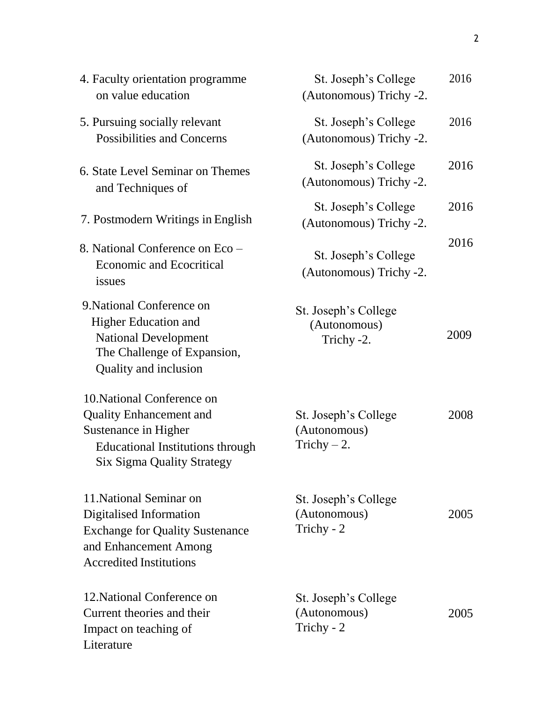| 4. Faculty orientation programme<br>on value education                                                                                                               | St. Joseph's College<br>(Autonomous) Trichy -2.       | 2016 |
|----------------------------------------------------------------------------------------------------------------------------------------------------------------------|-------------------------------------------------------|------|
| 5. Pursuing socially relevant<br><b>Possibilities and Concerns</b>                                                                                                   | St. Joseph's College<br>(Autonomous) Trichy -2.       | 2016 |
| 6. State Level Seminar on Themes<br>and Techniques of                                                                                                                | St. Joseph's College<br>(Autonomous) Trichy -2.       | 2016 |
| 7. Postmodern Writings in English                                                                                                                                    | St. Joseph's College<br>(Autonomous) Trichy -2.       | 2016 |
| 8. National Conference on Eco -<br><b>Economic and Ecocritical</b><br>issues                                                                                         | St. Joseph's College<br>(Autonomous) Trichy -2.       | 2016 |
| 9. National Conference on<br><b>Higher Education and</b><br><b>National Development</b><br>The Challenge of Expansion,<br>Quality and inclusion                      | St. Joseph's College<br>(Autonomous)<br>Trichy -2.    | 2009 |
| 10. National Conference on<br><b>Quality Enhancement and</b><br>Sustenance in Higher<br><b>Educational Institutions through</b><br><b>Six Sigma Quality Strategy</b> | St. Joseph's College<br>(Autonomous)<br>Trichy $-2$ . | 2008 |
| 11. National Seminar on<br>Digitalised Information<br><b>Exchange for Quality Sustenance</b><br>and Enhancement Among<br><b>Accredited Institutions</b>              | St. Joseph's College<br>(Autonomous)<br>Trichy - 2    | 2005 |
| 12. National Conference on<br>Current theories and their<br>Impact on teaching of<br>Literature                                                                      | St. Joseph's College<br>(Autonomous)<br>Trichy - 2    | 2005 |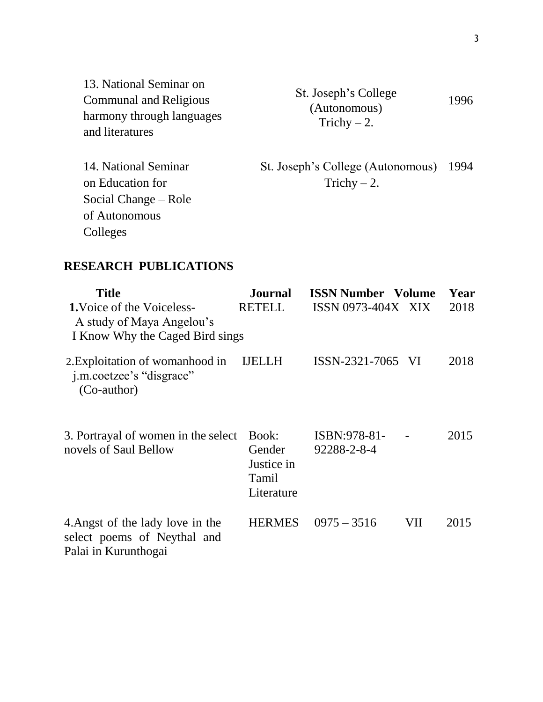| 13. National Seminar on       |
|-------------------------------|
| <b>Communal and Religious</b> |
| harmony through languages     |
| and literatures               |

St. Joseph's College (Autonomous) Trichy – 2. 1996

St. Joseph's College (Autonomous) 1994 Trichy  $-2$ .

# **RESEARCH PUBLICATIONS**

14. National Seminar

Social Change – Role

on Education for

of Autonomous

Colleges

| <b>Title</b><br><b>1.</b> Voice of the Voiceless-<br>A study of Maya Angelou's<br>I Know Why the Caged Bird sings | <b>Journal</b><br><b>RETELL</b>                      | <b>ISSN Number</b> Volume<br>ISSN 0973-404X XIX |     | Year<br>2018 |
|-------------------------------------------------------------------------------------------------------------------|------------------------------------------------------|-------------------------------------------------|-----|--------------|
| 2. Exploitation of womanhood in<br>j.m.coetzee's "disgrace"<br>(Co-author)                                        | <b>IJELLH</b>                                        | ISSN-2321-7065 VI                               |     | 2018         |
| 3. Portrayal of women in the select<br>novels of Saul Bellow                                                      | Book:<br>Gender<br>Justice in<br>Tamil<br>Literature | ISBN:978-81-<br>92288-2-8-4                     |     | 2015         |
| 4. Angst of the lady love in the<br>select poems of Neythal and<br>Palai in Kurunthogai                           | <b>HERMES</b>                                        | $0975 - 3516$                                   | VII | 2015         |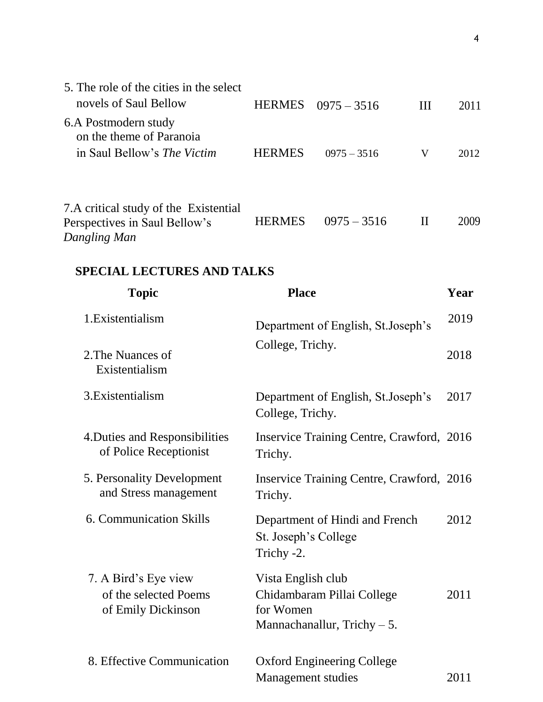| 5. The role of the cities in the select<br>novels of Saul Bellow                       | <b>HERMES</b> | $0975 - 3516$ | Ш | 2011 |
|----------------------------------------------------------------------------------------|---------------|---------------|---|------|
| 6.A Postmodern study<br>on the theme of Paranoia<br>in Saul Bellow's <i>The Victim</i> | <b>HERMES</b> | $0975 - 3516$ | V | 2012 |
| 7.A critical study of the Existential<br>Perspectives in Saul Bellow's<br>Dangling Man | <b>HERMES</b> | $0975 - 3516$ | Н | 2009 |

# **SPECIAL LECTURES AND TALKS**

| <b>Topic</b>                                                        | <b>Place</b>                                                                                   | Year |
|---------------------------------------------------------------------|------------------------------------------------------------------------------------------------|------|
| 1. Existentialism                                                   | Department of English, St.Joseph's                                                             | 2019 |
| 2. The Nuances of<br>Existentialism                                 | College, Trichy.                                                                               | 2018 |
| 3. Existentialism                                                   | Department of English, St. Joseph's<br>College, Trichy.                                        | 2017 |
| 4. Duties and Responsibilities<br>of Police Receptionist            | Inservice Training Centre, Crawford, 2016<br>Trichy.                                           |      |
| 5. Personality Development<br>and Stress management                 | Inservice Training Centre, Crawford, 2016<br>Trichy.                                           |      |
| 6. Communication Skills                                             | Department of Hindi and French<br>St. Joseph's College<br>Trichy -2.                           | 2012 |
| 7. A Bird's Eye view<br>of the selected Poems<br>of Emily Dickinson | Vista English club<br>Chidambaram Pillai College<br>for Women<br>Mannachanallur, Trichy $-5$ . | 2011 |
| 8. Effective Communication                                          | <b>Oxford Engineering College</b><br><b>Management studies</b>                                 | 2011 |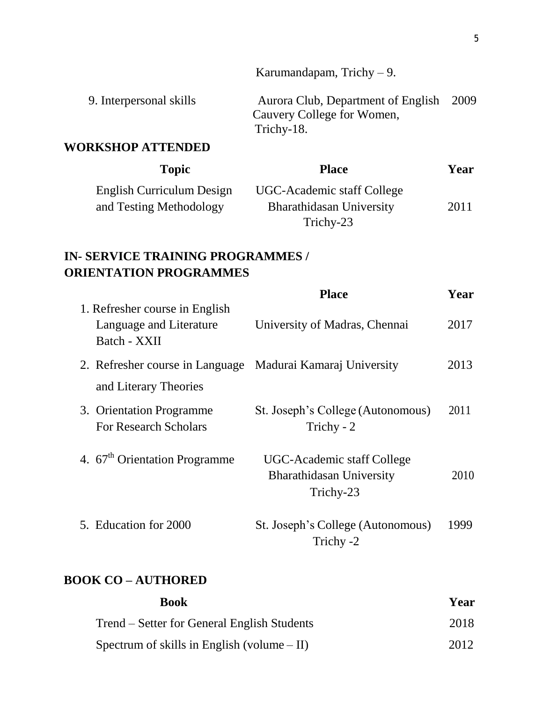Karumandapam, Trichy – 9. 9. Interpersonal skills Aurora Club, Department of English 2009 Cauvery College for Women, Trichy-18.

#### **WORKSHOP ATTENDED**

| <b>Topic</b>              | <b>Place</b>                    | Year |
|---------------------------|---------------------------------|------|
| English Curriculum Design | UGC-Academic staff College      |      |
| and Testing Methodology   | <b>Bharathidasan University</b> | 2011 |
|                           | Trichy-23                       |      |

# **IN- SERVICE TRAINING PROGRAMMES / ORIENTATION PROGRAMMES**

|                                                                           | <b>Place</b>                                                               | Year |
|---------------------------------------------------------------------------|----------------------------------------------------------------------------|------|
| 1. Refresher course in English<br>Language and Literature<br>Batch - XXII | University of Madras, Chennai                                              | 2017 |
| 2. Refresher course in Language Madurai Kamaraj University                |                                                                            | 2013 |
| and Literary Theories                                                     |                                                                            |      |
| 3. Orientation Programme<br><b>For Research Scholars</b>                  | St. Joseph's College (Autonomous)<br>Trichy - 2                            | 2011 |
| 4. 67 <sup>th</sup> Orientation Programme                                 | UGC-Academic staff College<br><b>Bharathidasan University</b><br>Trichy-23 | 2010 |
| 5. Education for 2000                                                     | St. Joseph's College (Autonomous)<br>Trichy -2                             | 1999 |

### **BOOK CO – AUTHORED**

| <b>Book</b>                                   | Year |
|-----------------------------------------------|------|
| Trend – Setter for General English Students   | 2018 |
| Spectrum of skills in English (volume $-$ II) | 2012 |